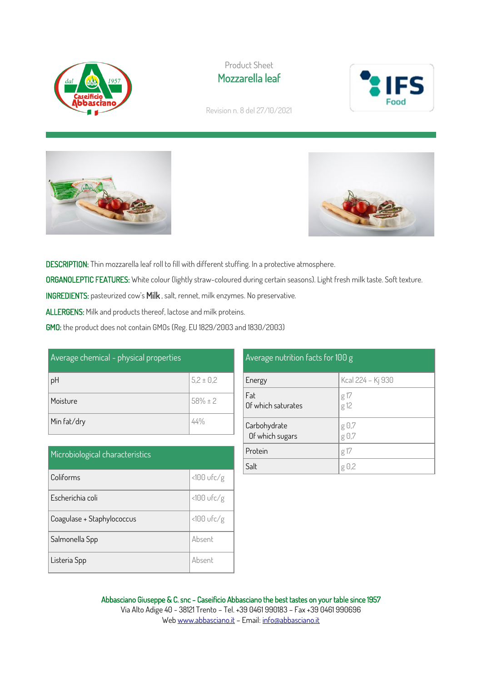

Product Sheet Mozzarella leaf



Revision n. 8 del 27/10/2021





DESCRIPTION: Thin mozzarella leaf roll to fill with different stuffing. In a protective atmosphere.

ORGANOLEPTIC FEATURES: White colour (lightly straw-coloured during certain seasons). Light fresh milk taste. Soft texture.

INGREDIENTS: pasteurized cow's Milk , salt, rennet, milk enzymes. No preservative.

ALLERGENS: Milk and products thereof, lactose and milk proteins.

GMO: the product does not contain GMOs (Reg. EU 1829/2003 and 1830/2003)

| Average chemical - physical properties |               |  |
|----------------------------------------|---------------|--|
| pH                                     | $5,2 \pm 0,2$ |  |
| Moisture                               | $58% \pm 2$   |  |
| Min fat/dry                            |               |  |

| Microbiological characteristics |              |  |
|---------------------------------|--------------|--|
| Coliforms                       | $<100$ ufc/g |  |
| Escherichia coli                | $<100$ ufc/g |  |
| Coagulase + Staphylococcus      | $<100$ ufc/g |  |
| Salmonella Spp                  | Absent       |  |
| Listeria Spp                    | Absent       |  |

## Average nutrition facts for 100 g

| Energy                          | Kcal 224 - Kj 930 |
|---------------------------------|-------------------|
| Fat<br>Of which saturates       | g 17<br>g 12      |
| Carbohydrate<br>Of which sugars | g 0,7<br>g 0,7    |
| Protein                         | g 17              |
| Salt                            | $g \theta$ ,2     |

## Abbasciano Giuseppe & C. snc - Caseificio Abbasciano the best tastes on your table since 1957 Via Alto Adige 40 - 38121 Trento – Tel. +39 0461 990183 – Fax +39 0461 990696 We[b www.abbasciano.it](http://www.abbasciano.it/) – Email[: info@abbasciano.it](mailto:info@abbasciano.it)